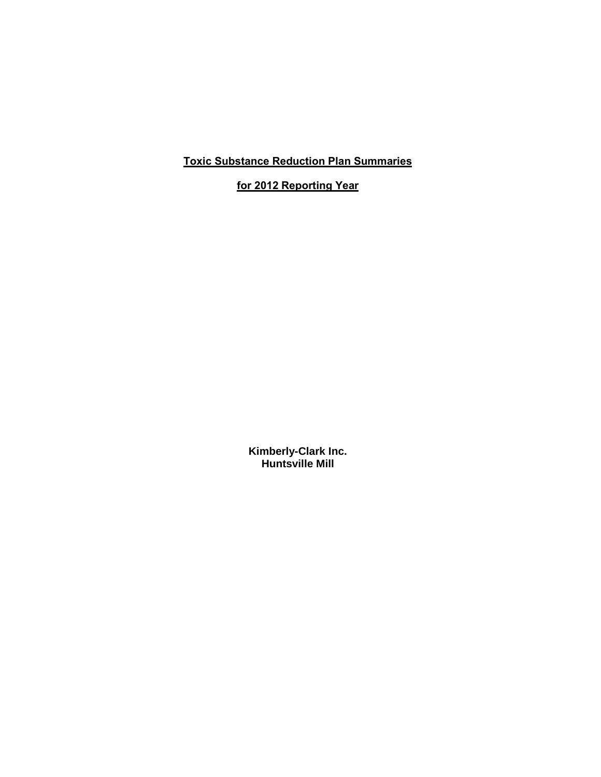**Toxic Substance Reduction Plan Summaries** 

**for 2012 Reporting Year**

**Kimberly-Clark Inc. Huntsville Mill**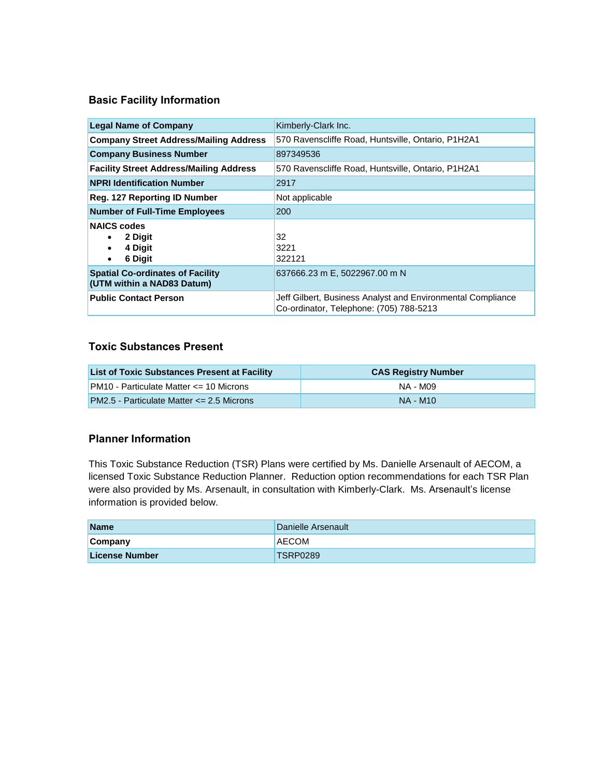#### **Basic Facility Information**

| <b>Legal Name of Company</b>                                          | Kimberly-Clark Inc.                                                                                    |
|-----------------------------------------------------------------------|--------------------------------------------------------------------------------------------------------|
| <b>Company Street Address/Mailing Address</b>                         | 570 Ravenscliffe Road, Huntsville, Ontario, P1H2A1                                                     |
| <b>Company Business Number</b>                                        | 897349536                                                                                              |
| <b>Facility Street Address/Mailing Address</b>                        | 570 Ravenscliffe Road, Huntsville, Ontario, P1H2A1                                                     |
| <b>NPRI Identification Number</b>                                     | 2917                                                                                                   |
| <b>Reg. 127 Reporting ID Number</b>                                   | Not applicable                                                                                         |
| <b>Number of Full-Time Employees</b>                                  | 200                                                                                                    |
| <b>NAICS codes</b><br>2 Digit<br>4 Digit<br>6 Digit<br>$\bullet$      | 32<br>3221<br>322121                                                                                   |
| <b>Spatial Co-ordinates of Facility</b><br>(UTM within a NAD83 Datum) | 637666.23 m E, 5022967.00 m N                                                                          |
| <b>Public Contact Person</b>                                          | Jeff Gilbert, Business Analyst and Environmental Compliance<br>Co-ordinator, Telephone: (705) 788-5213 |

#### **Toxic Substances Present**

| <b>List of Toxic Substances Present at Facility</b> | <b>CAS Registry Number</b> |
|-----------------------------------------------------|----------------------------|
| $PM10 - Particulate Matter \leq 10$ Microns         | NA - M09                   |
| <b>PM2.5 - Particulate Matter &lt;= 2.5 Microns</b> | NA - M10                   |

#### **Planner Information**

This Toxic Substance Reduction (TSR) Plans were certified by Ms. Danielle Arsenault of AECOM, a licensed Toxic Substance Reduction Planner. Reduction option recommendations for each TSR Plan were also provided by Ms. Arsenault, in consultation with Kimberly-Clark. Ms. Arsenault's license information is provided below.

| <b>Name</b>           | Danielle Arsenault |
|-----------------------|--------------------|
| Company               | <b>AECOM</b>       |
| <b>License Number</b> | TSRP0289           |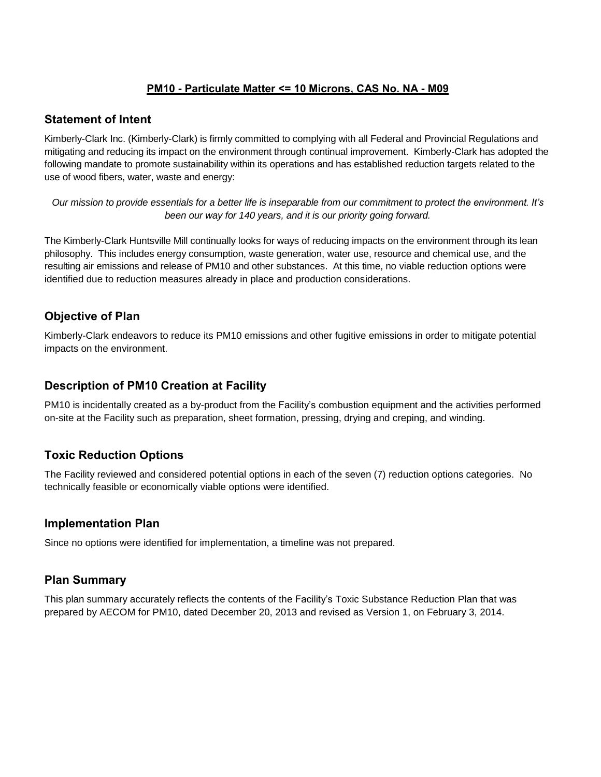### **PM10 - Particulate Matter <= 10 Microns, CAS No. NA - M09**

#### **Statement of Intent**

Kimberly-Clark Inc. (Kimberly-Clark) is firmly committed to complying with all Federal and Provincial Regulations and mitigating and reducing its impact on the environment through continual improvement. Kimberly-Clark has adopted the following mandate to promote sustainability within its operations and has established reduction targets related to the use of wood fibers, water, waste and energy:

*Our mission to provide essentials for a better life is inseparable from our commitment to protect the environment. It's been our way for 140 years, and it is our priority going forward.*

The Kimberly-Clark Huntsville Mill continually looks for ways of reducing impacts on the environment through its lean philosophy. This includes energy consumption, waste generation, water use, resource and chemical use, and the resulting air emissions and release of PM10 and other substances. At this time, no viable reduction options were identified due to reduction measures already in place and production considerations.

## **Objective of Plan**

Kimberly-Clark endeavors to reduce its PM10 emissions and other fugitive emissions in order to mitigate potential impacts on the environment.

## **Description of PM10 Creation at Facility**

PM10 is incidentally created as a by-product from the Facility's combustion equipment and the activities performed on-site at the Facility such as preparation, sheet formation, pressing, drying and creping, and winding.

## **Toxic Reduction Options**

The Facility reviewed and considered potential options in each of the seven (7) reduction options categories. No technically feasible or economically viable options were identified.

## **Implementation Plan**

Since no options were identified for implementation, a timeline was not prepared.

## **Plan Summary**

This plan summary accurately reflects the contents of the Facility's Toxic Substance Reduction Plan that was prepared by AECOM for PM10, dated December 20, 2013 and revised as Version 1, on February 3, 2014.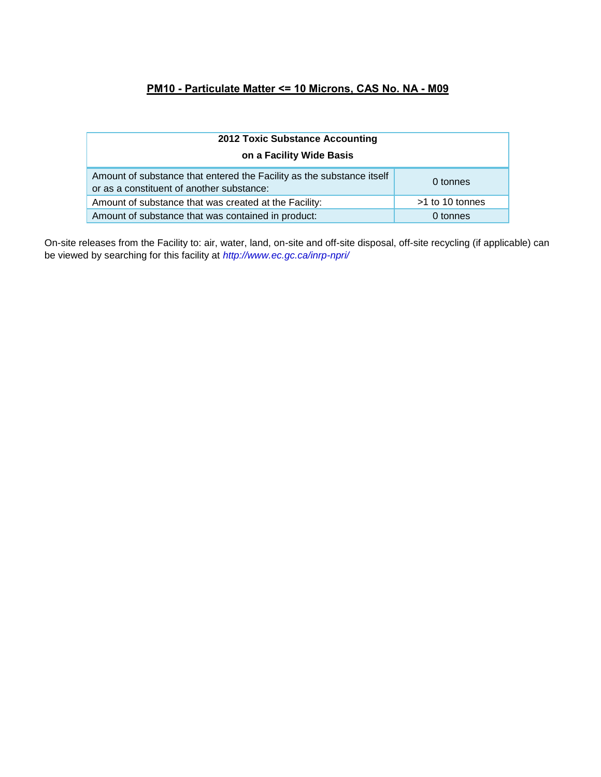# **PM10 - Particulate Matter <= 10 Microns, CAS No. NA - M09**

| <b>2012 Toxic Substance Accounting</b>                                                                             |                 |  |  |
|--------------------------------------------------------------------------------------------------------------------|-----------------|--|--|
| on a Facility Wide Basis                                                                                           |                 |  |  |
| Amount of substance that entered the Facility as the substance itself<br>or as a constituent of another substance: | 0 tonnes        |  |  |
| Amount of substance that was created at the Facility:                                                              | >1 to 10 tonnes |  |  |
| Amount of substance that was contained in product:                                                                 | 0 tonnes        |  |  |

On-site releases from the Facility to: air, water, land, on-site and off-site disposal, off-site recycling (if applicable) can be viewed by searching for this facility at *<http://www.ec.gc.ca/inrp-npri/>*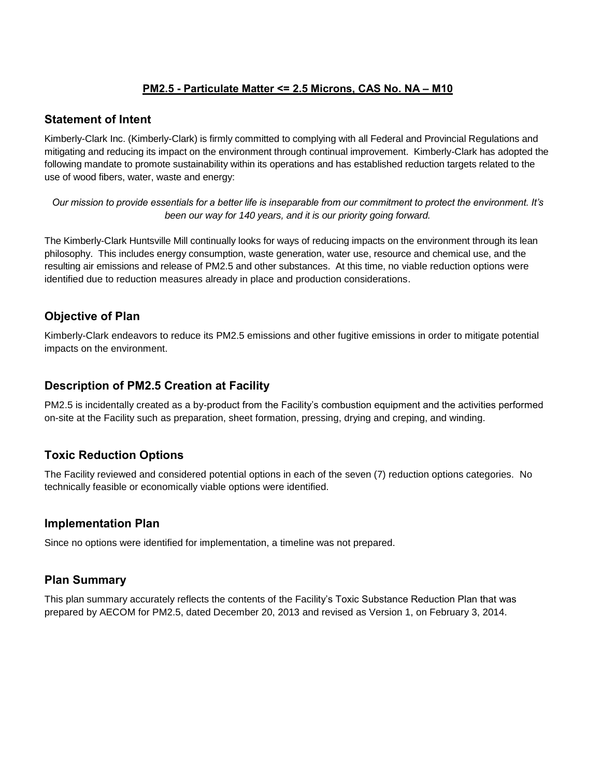## **PM2.5 - Particulate Matter <= 2.5 Microns, CAS No. NA – M10**

#### **Statement of Intent**

Kimberly-Clark Inc. (Kimberly-Clark) is firmly committed to complying with all Federal and Provincial Regulations and mitigating and reducing its impact on the environment through continual improvement. Kimberly-Clark has adopted the following mandate to promote sustainability within its operations and has established reduction targets related to the use of wood fibers, water, waste and energy:

*Our mission to provide essentials for a better life is inseparable from our commitment to protect the environment. It's been our way for 140 years, and it is our priority going forward.*

The Kimberly-Clark Huntsville Mill continually looks for ways of reducing impacts on the environment through its lean philosophy. This includes energy consumption, waste generation, water use, resource and chemical use, and the resulting air emissions and release of PM2.5 and other substances. At this time, no viable reduction options were identified due to reduction measures already in place and production considerations.

## **Objective of Plan**

Kimberly-Clark endeavors to reduce its PM2.5 emissions and other fugitive emissions in order to mitigate potential impacts on the environment.

## **Description of PM2.5 Creation at Facility**

PM2.5 is incidentally created as a by-product from the Facility's combustion equipment and the activities performed on-site at the Facility such as preparation, sheet formation, pressing, drying and creping, and winding.

## **Toxic Reduction Options**

The Facility reviewed and considered potential options in each of the seven (7) reduction options categories. No technically feasible or economically viable options were identified.

## **Implementation Plan**

Since no options were identified for implementation, a timeline was not prepared.

## **Plan Summary**

This plan summary accurately reflects the contents of the Facility's Toxic Substance Reduction Plan that was prepared by AECOM for PM2.5, dated December 20, 2013 and revised as Version 1, on February 3, 2014.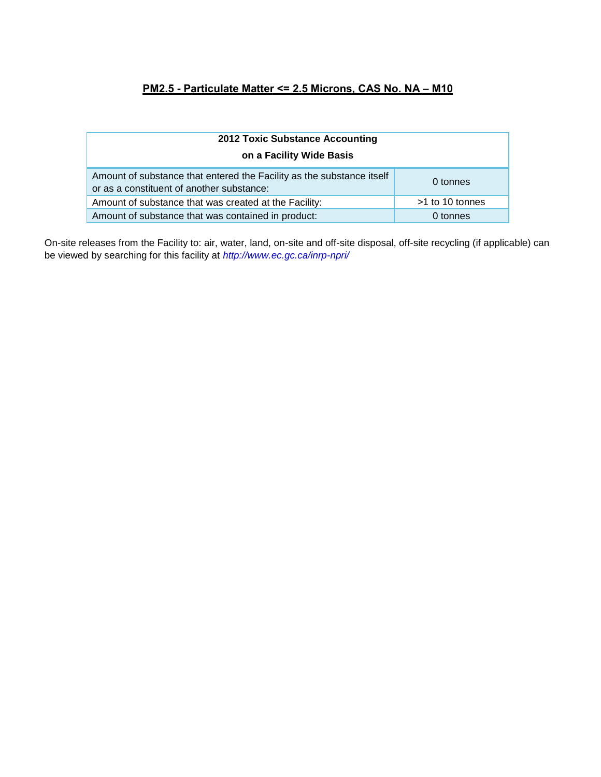# **PM2.5 - Particulate Matter <= 2.5 Microns, CAS No. NA – M10**

| <b>2012 Toxic Substance Accounting</b>                                                                             |                 |  |  |
|--------------------------------------------------------------------------------------------------------------------|-----------------|--|--|
| on a Facility Wide Basis                                                                                           |                 |  |  |
| Amount of substance that entered the Facility as the substance itself<br>or as a constituent of another substance: | 0 tonnes        |  |  |
| Amount of substance that was created at the Facility:                                                              | >1 to 10 tonnes |  |  |
| Amount of substance that was contained in product:                                                                 | 0 tonnes        |  |  |

On-site releases from the Facility to: air, water, land, on-site and off-site disposal, off-site recycling (if applicable) can be viewed by searching for this facility at *<http://www.ec.gc.ca/inrp-npri/>*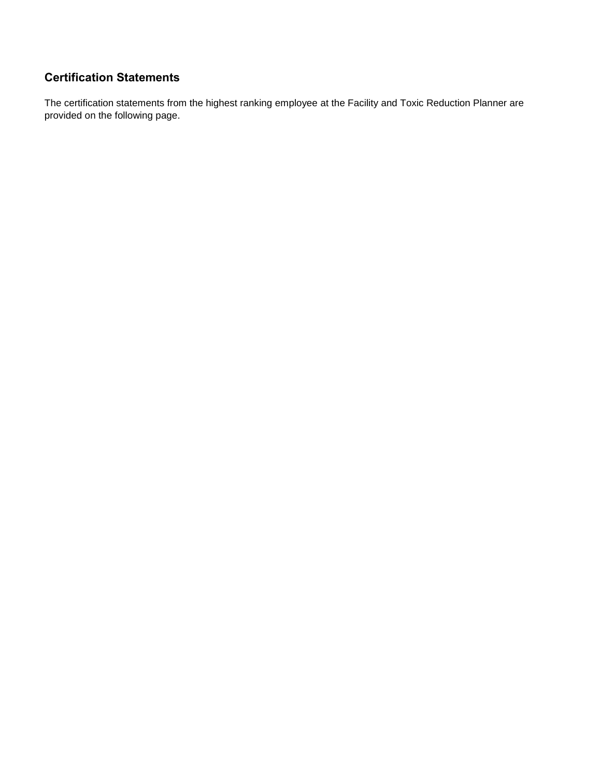# **Certification Statements**

The certification statements from the highest ranking employee at the Facility and Toxic Reduction Planner are provided on the following page.